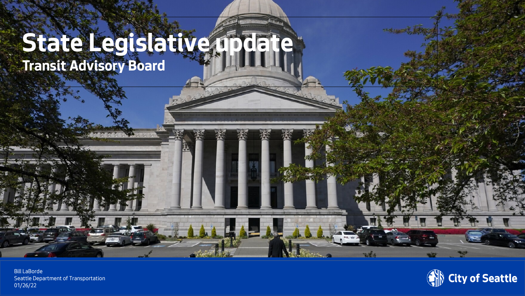### State Legislative film Transit Advisory Board

Seattle Department of Transportation Bill LaBorde 01/26/22

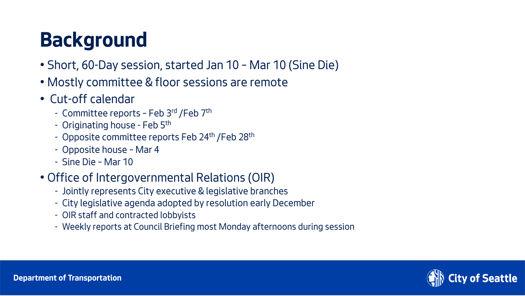## Background

- Short, 60-Day session, started Jan 10 Mar 10 (Sine Die)
- Mostly committee & floor sessions are remote
- Cut-off calendar
	- Committee reports Feb 3rd / Feb 7th
	- Originating house Feb 5th
	- Opposite committee reports Feb 24<sup>th</sup> / Feb 28<sup>th</sup>
	- Opposite house Mar 4
	- Sine Die Mar 10
- Office of Intergovernmental Relations (OIR)
	- Jointly represents City executive & legislative branches
	- City legislative agenda adopted by resolution early December
	- OIR staff and contracted lobbyists
	- Weekly reports at Council Briefing most Monday afternoons during session

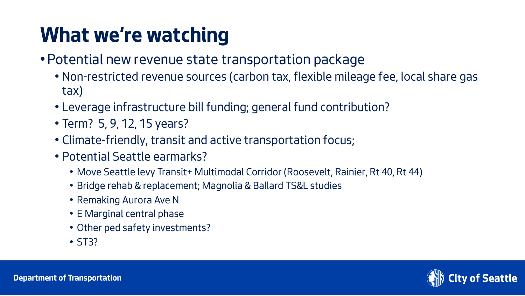## What we're watching

- Potential new revenue state transportation package
	- Non-restricted revenue sources (carbon tax, flexible mileage fee, local share gas tax)
	- Leverage infrastructure bill funding; general fund contribution?
	- Term? 5, 9, 12, 15 years?
	- Climate-friendly, transit and active transportation focus;
	- Potential Seattle earmarks?
		- Move Seattle levy Transit+ Multimodal Corridor (Roosevelt, Rainier, Rt 40, Rt 44)
		- Bridge rehab & replacement; Magnolia & Ballard TS&L studies
		- Remaking Aurora Ave N
		- E Marginal central phase
		- Other ped safety investments?
		- ST3?

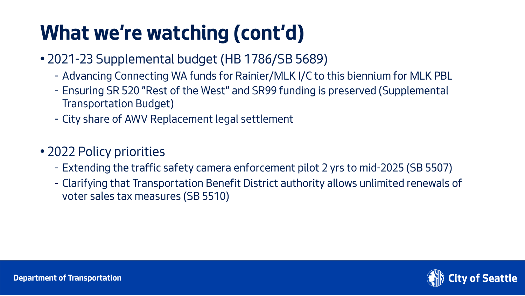## What we're watching (cont'd)

- 2021-23 Supplemental budget (HB 1786/SB 5689)
	- Advancing Connecting WA funds for Rainier/MLK I/C to this biennium for MLK PBL
	- Ensuring SR 520 "Rest of the West" and SR99 funding is preserved (Supplemental Transportation Budget)
	- City share of AWV Replacement legal settlement

#### • 2022 Policy priorities

- Extending the traffic safety camera enforcement pilot 2 yrs to mid-2025 (SB 5507)
- Clarifying that Transportation Benefit District authority allows unlimited renewals of voter sales tax measures (SB 5510)

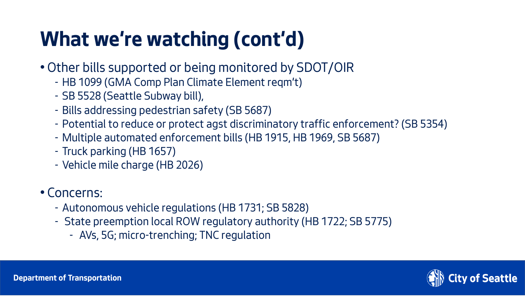## What we're watching (cont'd)

- Other bills supported or being monitored by SDOT/OIR
	- HB 1099 (GMA Comp Plan Climate Element reqm't)
	- SB 5528 (Seattle Subway bill),
	- Bills addressing pedestrian safety (SB 5687)
	- Potential to reduce or protect agst discriminatory traffic enforcement? (SB 5354)
	- Multiple automated enforcement bills (HB 1915, HB 1969, SB 5687)
	- Truck parking (HB 1657)
	- Vehicle mile charge (HB 2026)

#### • Concerns:

- Autonomous vehicle regulations (HB 1731; SB 5828)
- State preemption local ROW regulatory authority (HB 1722; SB 5775)
	- AVs, 5G; micro-trenching; TNC regulation